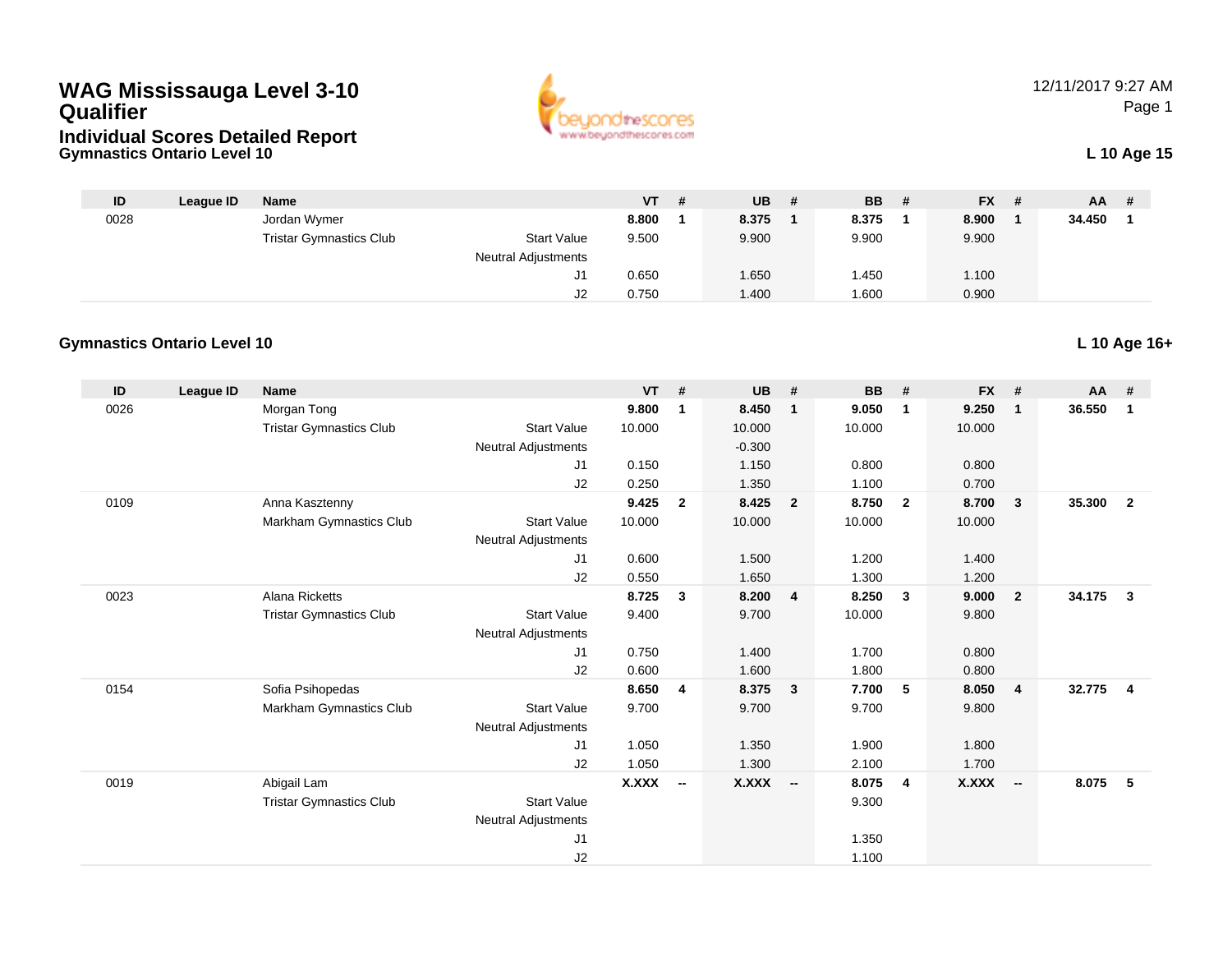## **WAG Mississauga Level 3-10 Qualifier**





12/11/2017 9:27 AMPage 1

| ID   | League ID | Name                           |                            | VT.   | # | <b>UB</b> | <b>BB</b> | - # | <b>FX</b> | - # | <b>AA</b> |  |
|------|-----------|--------------------------------|----------------------------|-------|---|-----------|-----------|-----|-----------|-----|-----------|--|
| 0028 |           | Jordan Wymer                   |                            | 8.800 |   | 8.375     | 8.375     |     | 8.900     |     | 34.450    |  |
|      |           | <b>Tristar Gymnastics Club</b> | <b>Start Value</b>         | 9.500 |   | 9.900     | 9.900     |     | 9.900     |     |           |  |
|      |           |                                | <b>Neutral Adjustments</b> |       |   |           |           |     |           |     |           |  |
|      |           |                                | J1                         | 0.650 |   | 1.650     | 1.450     |     | 1.100     |     |           |  |
|      |           |                                | J2                         | 0.750 |   | .400      | 1.600     |     | 0.900     |     |           |  |

## **Gymnastics Ontario Level 10**

| ID   | League ID | <b>Name</b>                    |                            | $VT$ #       |                          | <b>UB</b>    | #                       | <b>BB</b> | #                       | <b>FX</b>    | #                        | $AA$ #   |                |
|------|-----------|--------------------------------|----------------------------|--------------|--------------------------|--------------|-------------------------|-----------|-------------------------|--------------|--------------------------|----------|----------------|
| 0026 |           | Morgan Tong                    |                            | 9.800        | 1                        | 8.450        | $\overline{\mathbf{1}}$ | 9.050     | $\mathbf{1}$            | 9.250        | $\mathbf 1$              | 36.550   | $\mathbf 1$    |
|      |           | <b>Tristar Gymnastics Club</b> | <b>Start Value</b>         | 10.000       |                          | 10.000       |                         | 10.000    |                         | 10.000       |                          |          |                |
|      |           |                                | <b>Neutral Adjustments</b> |              |                          | $-0.300$     |                         |           |                         |              |                          |          |                |
|      |           |                                | J <sub>1</sub>             | 0.150        |                          | 1.150        |                         | 0.800     |                         | 0.800        |                          |          |                |
|      |           |                                | J2                         | 0.250        |                          | 1.350        |                         | 1.100     |                         | 0.700        |                          |          |                |
| 0109 |           | Anna Kasztenny                 |                            | 9.425        | $\overline{2}$           | 8.425        | $\overline{\mathbf{2}}$ | 8.750     | $\overline{2}$          | 8.700        | 3                        | 35.300   | $\overline{2}$ |
|      |           | Markham Gymnastics Club        | <b>Start Value</b>         | 10.000       |                          | 10.000       |                         | 10.000    |                         | 10.000       |                          |          |                |
|      |           |                                | <b>Neutral Adjustments</b> |              |                          |              |                         |           |                         |              |                          |          |                |
|      |           |                                | J <sub>1</sub>             | 0.600        |                          | 1.500        |                         | 1.200     |                         | 1.400        |                          |          |                |
|      |           |                                | J2                         | 0.550        |                          | 1.650        |                         | 1.300     |                         | 1.200        |                          |          |                |
| 0023 |           | Alana Ricketts                 |                            | 8.725        | $\mathbf{3}$             | 8.200        | $\overline{4}$          | 8.250     | $\overline{\mathbf{3}}$ | 9.000        | $\overline{2}$           | 34.175 3 |                |
|      |           | <b>Tristar Gymnastics Club</b> | <b>Start Value</b>         | 9.400        |                          | 9.700        |                         | 10.000    |                         | 9.800        |                          |          |                |
|      |           |                                | <b>Neutral Adjustments</b> |              |                          |              |                         |           |                         |              |                          |          |                |
|      |           |                                | J1                         | 0.750        |                          | 1.400        |                         | 1.700     |                         | 0.800        |                          |          |                |
|      |           |                                | J2                         | 0.600        |                          | 1.600        |                         | 1.800     |                         | 0.800        |                          |          |                |
| 0154 |           | Sofia Psihopedas               |                            | 8.650        | $\overline{\mathbf{4}}$  | 8.375        | $\overline{\mathbf{3}}$ | 7.700     | 5                       | 8.050        | $\overline{4}$           | 32.775   | $\overline{4}$ |
|      |           | Markham Gymnastics Club        | <b>Start Value</b>         | 9.700        |                          | 9.700        |                         | 9.700     |                         | 9.800        |                          |          |                |
|      |           |                                | <b>Neutral Adjustments</b> |              |                          |              |                         |           |                         |              |                          |          |                |
|      |           |                                | J1                         | 1.050        |                          | 1.350        |                         | 1.900     |                         | 1.800        |                          |          |                |
|      |           |                                | J2                         | 1.050        |                          | 1.300        |                         | 2.100     |                         | 1.700        |                          |          |                |
| 0019 |           | Abigail Lam                    |                            | <b>X.XXX</b> | $\overline{\phantom{a}}$ | <b>X.XXX</b> | $\sim$                  | 8.075     | $\overline{4}$          | <b>X.XXX</b> | $\overline{\phantom{a}}$ | 8.075    | $-5$           |
|      |           | <b>Tristar Gymnastics Club</b> | <b>Start Value</b>         |              |                          |              |                         | 9.300     |                         |              |                          |          |                |
|      |           |                                | <b>Neutral Adjustments</b> |              |                          |              |                         |           |                         |              |                          |          |                |
|      |           |                                | J <sub>1</sub>             |              |                          |              |                         | 1.350     |                         |              |                          |          |                |
|      |           |                                | J2                         |              |                          |              |                         | 1.100     |                         |              |                          |          |                |

**L 10 Age 16+**